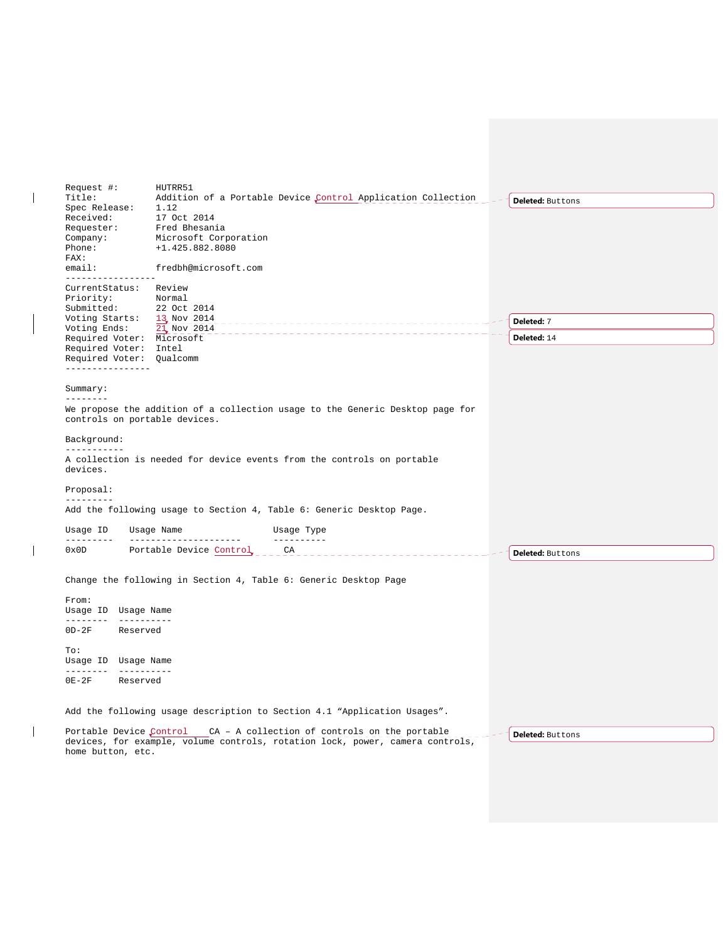| Request #:<br>Title:<br>Spec Release:<br>Received:<br>Requester:<br>Company:<br>Phone:                                     | HUTRR51<br>1.12<br>17 Oct 2014<br>Fred Bhesania<br>Microsoft Corporation<br>+1.425.882.8080                                    | Addition of a Portable Device Control Application Collection | <b>Deleted: Buttons</b> |
|----------------------------------------------------------------------------------------------------------------------------|--------------------------------------------------------------------------------------------------------------------------------|--------------------------------------------------------------|-------------------------|
| FAX:<br>email:<br>-----------------                                                                                        | fredbh@microsoft.com                                                                                                           |                                                              |                         |
| CurrentStatus: Review<br>Priority:<br>Submitted:<br>Voting Starts:                                                         | Normal<br>22 Oct 2014                                                                                                          |                                                              |                         |
| Voting Ends:                                                                                                               | 13 Nov 2014<br>21 Nov 2014                                                                                                     |                                                              | Deleted: 7              |
| Required Voter: Microsoft<br>Required Voter: Intel<br>Required Voter: Oualcomm                                             |                                                                                                                                |                                                              | Deleted: 14             |
| ----------------<br>Summary:                                                                                               |                                                                                                                                |                                                              |                         |
| --------<br>We propose the addition of a collection usage to the Generic Desktop page for<br>controls on portable devices. |                                                                                                                                |                                                              |                         |
| Background:                                                                                                                |                                                                                                                                |                                                              |                         |
| -----------<br>A collection is needed for device events from the controls on portable<br>devices.                          |                                                                                                                                |                                                              |                         |
| Proposal:                                                                                                                  |                                                                                                                                |                                                              |                         |
| ---------<br>Add the following usage to Section 4, Table 6: Generic Desktop Page.                                          |                                                                                                                                |                                                              |                         |
| Usage ID<br>----------                                                                                                     | Usage Name<br>---------------------                                                                                            | Usage Type<br>----------                                     |                         |
| 0x0D                                                                                                                       | Portable Device Control _____ CA______                                                                                         |                                                              | <b>Deleted: Buttons</b> |
| Change the following in Section 4, Table 6: Generic Desktop Page                                                           |                                                                                                                                |                                                              |                         |
| From:<br>Usage ID Usage Name<br>--------- ----------                                                                       |                                                                                                                                |                                                              |                         |
| $OD-2F$<br>Reserved                                                                                                        |                                                                                                                                |                                                              |                         |
| To:<br>Usage ID Usage Name                                                                                                 |                                                                                                                                |                                                              |                         |
| $0E-2F$<br>Reserved                                                                                                        |                                                                                                                                |                                                              |                         |
| Add the following usage description to Section 4.1 "Application Usages".                                                   |                                                                                                                                |                                                              |                         |
| Portable Device Control<br>home button, etc.                                                                               | CA - A collection of controls on the portable<br>devices, for example, volume controls, rotation lock, power, camera controls, | <b>Deleted: Buttons</b>                                      |                         |
|                                                                                                                            |                                                                                                                                |                                                              |                         |

 $\begin{array}{c} \hline \end{array}$ 

 $\begin{array}{c} \hline \end{array}$ 

 $\begin{array}{c} \hline \end{array}$